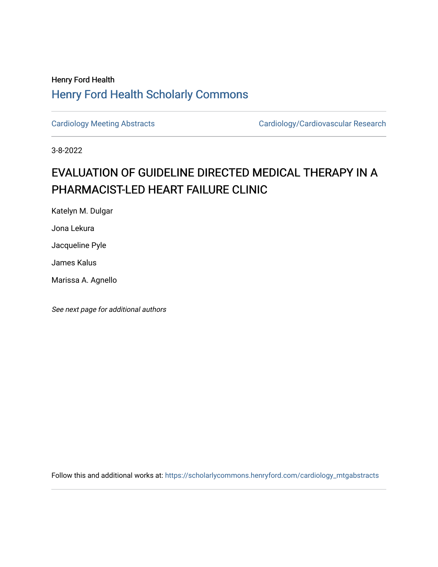## Henry Ford Health [Henry Ford Health Scholarly Commons](https://scholarlycommons.henryford.com/)

[Cardiology Meeting Abstracts](https://scholarlycommons.henryford.com/cardiology_mtgabstracts) Cardiology/Cardiovascular Research

3-8-2022

## EVALUATION OF GUIDELINE DIRECTED MEDICAL THERAPY IN A PHARMACIST-LED HEART FAILURE CLINIC

Katelyn M. Dulgar

Jona Lekura

Jacqueline Pyle

James Kalus

Marissa A. Agnello

See next page for additional authors

Follow this and additional works at: [https://scholarlycommons.henryford.com/cardiology\\_mtgabstracts](https://scholarlycommons.henryford.com/cardiology_mtgabstracts?utm_source=scholarlycommons.henryford.com%2Fcardiology_mtgabstracts%2F340&utm_medium=PDF&utm_campaign=PDFCoverPages)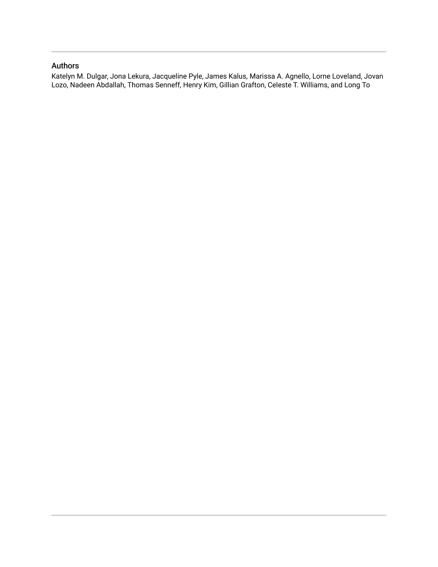## Authors

Katelyn M. Dulgar, Jona Lekura, Jacqueline Pyle, James Kalus, Marissa A. Agnello, Lorne Loveland, Jovan Lozo, Nadeen Abdallah, Thomas Senneff, Henry Kim, Gillian Grafton, Celeste T. Williams, and Long To